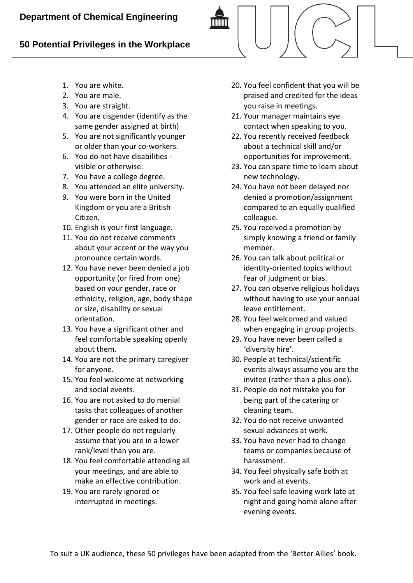## **50 Potential Privileges in the Workplace**

- 1. You are white.
- 2. You are male.
- 3. You are straight.
- 4. You are cisgender (identify as the same gender assigned at birth)
- 5. You are not significantly younger or older than your co-workers.
- 6. You do not have disabilities visible or otherwise.
- 7. You have a college degree.
- 8. You attended an elite university.
- 9. You were born in the United Kingdom or you are a British Citizen.
- 10. English is your first language.
- 11. You do not receive comments about your accent or the way you pronounce certain words.
- 12. You have never been denied a job opportunity (or fired from one) based on your gender, race or ethnicity, religion, age, body shape or size, disability or sexual orientation.
- 13. You have a significant other and feel comfortable speaking openly about them.
- 14. You are not the primary caregiver for anyone.
- 15. You feel welcome at networking and social events.
- 16. You are not asked to do menial tasks that colleagues of another gender or race are asked to do.
- 17. Other people do not regularly assume that you are in a lower rank/level than you are.
- 18. You feel comfortable attending all your meetings, and are able to make an effective contribution.
- 19. You are rarely ignored or interrupted in meetings.
- 20. You feel confident that you will be praised and credited for the ideas you raise in meetings.
- 21. Your manager maintains eye contact when speaking to you.
- 22. You recently received feedback about a technical skill and/or opportunities for improvement.
- 23. You can spare time to learn about new technology.
- 24. You have not been delayed nor denied a promotion/assignment compared to an equally qualified colleague.
- 25. You received a promotion by simply knowing a friend or family member.
- 26. You can talk about political or identity-oriented topics without fear of judgment or bias.
- 27. You can observe religious holidays without having to use your annual leave entitlement.
- 28. You feel welcomed and valued when engaging in group projects.
- 29. You have never been called a 'diversity hire'.
- 30. People at technical/scientific events always assume you are the invitee (rather than a plus-one).
- 31. People do not mistake you for being part of the catering or cleaning team.
- 32. You do not receive unwanted sexual advances at work.
- 33. You have never had to change teams or companies because of harassment.
- 34. You feel physically safe both at work and at events.
- 35. You feel safe leaving work late at night and going home alone after evening events.